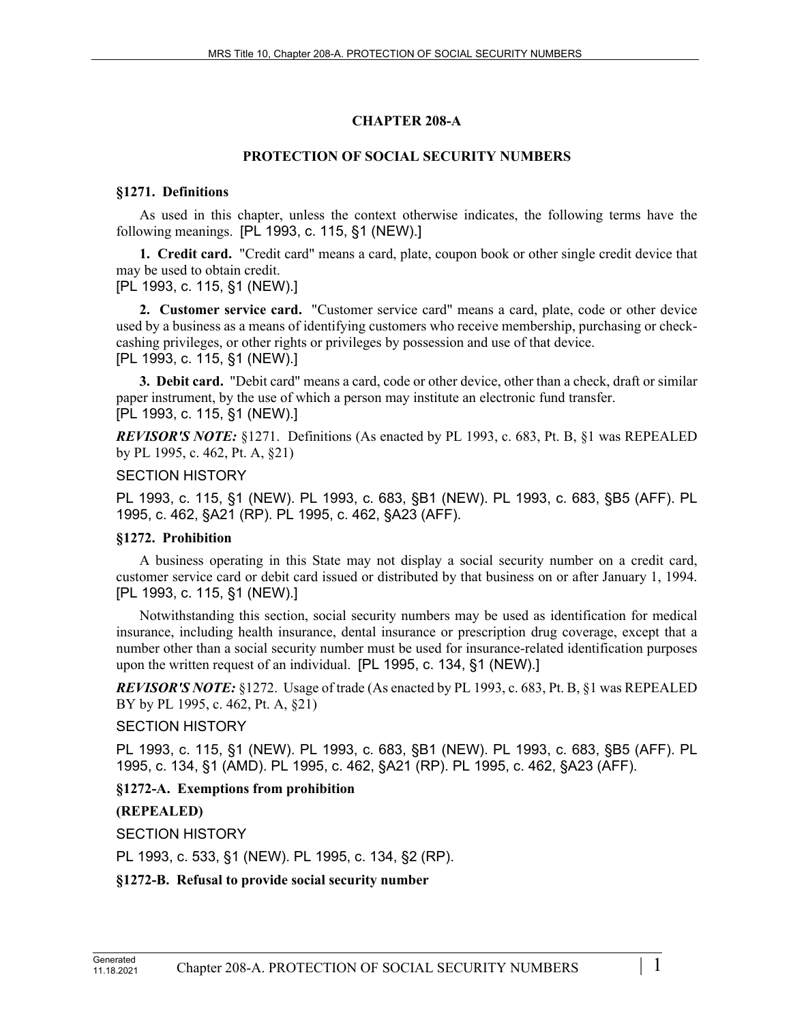# **CHAPTER 208-A**

# **PROTECTION OF SOCIAL SECURITY NUMBERS**

### **§1271. Definitions**

As used in this chapter, unless the context otherwise indicates, the following terms have the following meanings. [PL 1993, c. 115, §1 (NEW).]

**1. Credit card.** "Credit card" means a card, plate, coupon book or other single credit device that may be used to obtain credit.

[PL 1993, c. 115, §1 (NEW).]

**2. Customer service card.** "Customer service card" means a card, plate, code or other device used by a business as a means of identifying customers who receive membership, purchasing or checkcashing privileges, or other rights or privileges by possession and use of that device. [PL 1993, c. 115, §1 (NEW).]

**3. Debit card.** "Debit card" means a card, code or other device, other than a check, draft or similar paper instrument, by the use of which a person may institute an electronic fund transfer. [PL 1993, c. 115, §1 (NEW).]

*REVISOR'S NOTE:* §1271. Definitions (As enacted by PL 1993, c. 683, Pt. B, §1 was REPEALED by PL 1995, c. 462, Pt. A, §21)

### SECTION HISTORY

PL 1993, c. 115, §1 (NEW). PL 1993, c. 683, §B1 (NEW). PL 1993, c. 683, §B5 (AFF). PL 1995, c. 462, §A21 (RP). PL 1995, c. 462, §A23 (AFF).

# **§1272. Prohibition**

A business operating in this State may not display a social security number on a credit card, customer service card or debit card issued or distributed by that business on or after January 1, 1994. [PL 1993, c. 115, §1 (NEW).]

Notwithstanding this section, social security numbers may be used as identification for medical insurance, including health insurance, dental insurance or prescription drug coverage, except that a number other than a social security number must be used for insurance-related identification purposes upon the written request of an individual. [PL 1995, c. 134, §1 (NEW).]

*REVISOR'S NOTE:* §1272. Usage of trade (As enacted by PL 1993, c. 683, Pt. B, §1 was REPEALED BY by PL 1995, c. 462, Pt. A, §21)

# SECTION HISTORY

PL 1993, c. 115, §1 (NEW). PL 1993, c. 683, §B1 (NEW). PL 1993, c. 683, §B5 (AFF). PL 1995, c. 134, §1 (AMD). PL 1995, c. 462, §A21 (RP). PL 1995, c. 462, §A23 (AFF).

# **§1272-A. Exemptions from prohibition**

# **(REPEALED)**

SECTION HISTORY

PL 1993, c. 533, §1 (NEW). PL 1995, c. 134, §2 (RP).

**§1272-B. Refusal to provide social security number**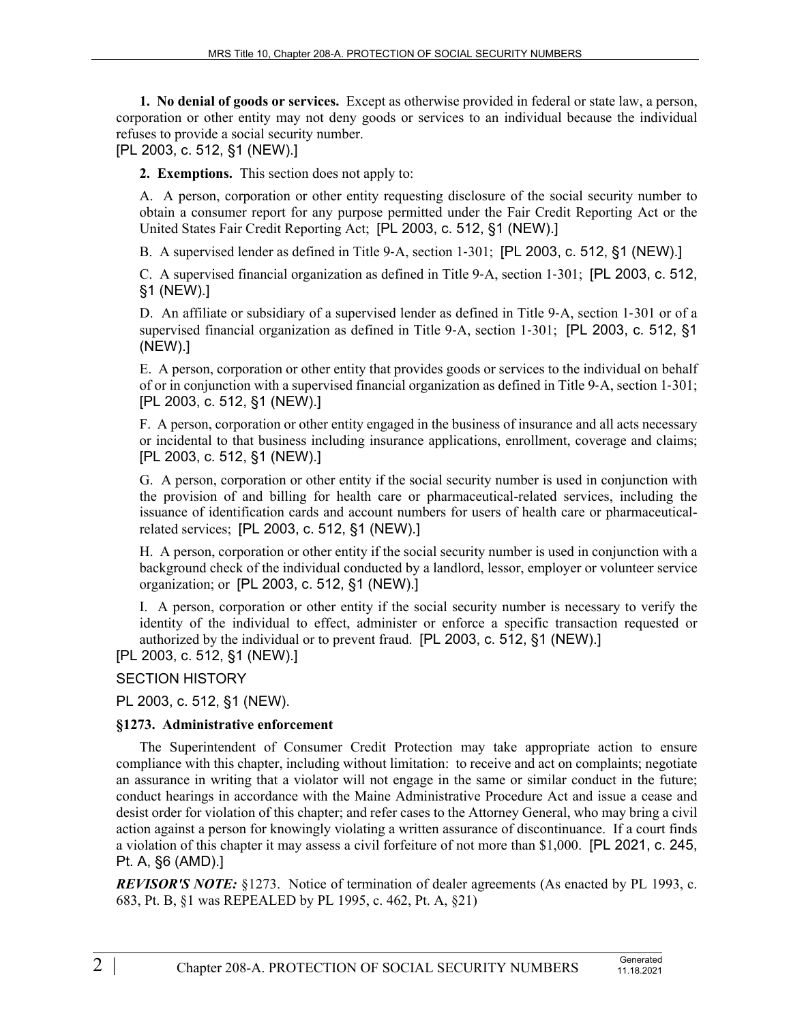**1. No denial of goods or services.** Except as otherwise provided in federal or state law, a person, corporation or other entity may not deny goods or services to an individual because the individual refuses to provide a social security number.

[PL 2003, c. 512, §1 (NEW).]

**2. Exemptions.** This section does not apply to:

A. A person, corporation or other entity requesting disclosure of the social security number to obtain a consumer report for any purpose permitted under the Fair Credit Reporting Act or the United States Fair Credit Reporting Act; [PL 2003, c. 512, §1 (NEW).]

B. A supervised lender as defined in Title 9-A, section 1-301; [PL 2003, c. 512, §1 (NEW).]

C. A supervised financial organization as defined in Title 9‑A, section 1‑301; [PL 2003, c. 512, §1 (NEW).]

D. An affiliate or subsidiary of a supervised lender as defined in Title 9-A, section 1–301 or of a supervised financial organization as defined in Title 9–A, section 1–301; [PL 2003, c. 512, §1 (NEW).]

E. A person, corporation or other entity that provides goods or services to the individual on behalf of or in conjunction with a supervised financial organization as defined in Title 9‑A, section 1‑301; [PL 2003, c. 512, §1 (NEW).]

F. A person, corporation or other entity engaged in the business of insurance and all acts necessary or incidental to that business including insurance applications, enrollment, coverage and claims; [PL 2003, c. 512, §1 (NEW).]

G. A person, corporation or other entity if the social security number is used in conjunction with the provision of and billing for health care or pharmaceutical-related services, including the issuance of identification cards and account numbers for users of health care or pharmaceuticalrelated services; [PL 2003, c. 512, §1 (NEW).]

H. A person, corporation or other entity if the social security number is used in conjunction with a background check of the individual conducted by a landlord, lessor, employer or volunteer service organization; or [PL 2003, c. 512, §1 (NEW).]

I. A person, corporation or other entity if the social security number is necessary to verify the identity of the individual to effect, administer or enforce a specific transaction requested or authorized by the individual or to prevent fraud. [PL 2003, c. 512, §1 (NEW).]

[PL 2003, c. 512, §1 (NEW).]

SECTION HISTORY

PL 2003, c. 512, §1 (NEW).

#### **§1273. Administrative enforcement**

The Superintendent of Consumer Credit Protection may take appropriate action to ensure compliance with this chapter, including without limitation: to receive and act on complaints; negotiate an assurance in writing that a violator will not engage in the same or similar conduct in the future; conduct hearings in accordance with the Maine Administrative Procedure Act and issue a cease and desist order for violation of this chapter; and refer cases to the Attorney General, who may bring a civil action against a person for knowingly violating a written assurance of discontinuance. If a court finds a violation of this chapter it may assess a civil forfeiture of not more than \$1,000. [PL 2021, c. 245, Pt. A, §6 (AMD).]

*REVISOR'S NOTE:* §1273. Notice of termination of dealer agreements (As enacted by PL 1993, c. 683, Pt. B, §1 was REPEALED by PL 1995, c. 462, Pt. A, §21)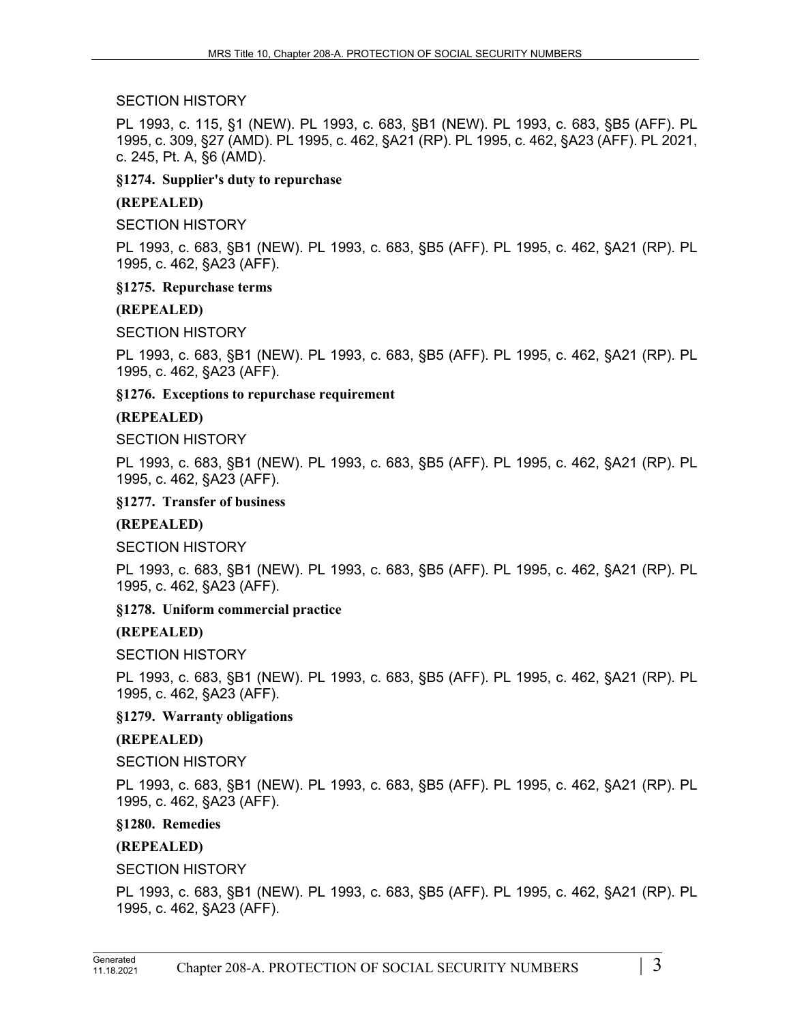### SECTION HISTORY

PL 1993, c. 115, §1 (NEW). PL 1993, c. 683, §B1 (NEW). PL 1993, c. 683, §B5 (AFF). PL 1995, c. 309, §27 (AMD). PL 1995, c. 462, §A21 (RP). PL 1995, c. 462, §A23 (AFF). PL 2021, c. 245, Pt. A, §6 (AMD).

### **§1274. Supplier's duty to repurchase**

### **(REPEALED)**

SECTION HISTORY

PL 1993, c. 683, §B1 (NEW). PL 1993, c. 683, §B5 (AFF). PL 1995, c. 462, §A21 (RP). PL 1995, c. 462, §A23 (AFF).

#### **§1275. Repurchase terms**

### **(REPEALED)**

SECTION HISTORY

PL 1993, c. 683, §B1 (NEW). PL 1993, c. 683, §B5 (AFF). PL 1995, c. 462, §A21 (RP). PL 1995, c. 462, §A23 (AFF).

**§1276. Exceptions to repurchase requirement**

### **(REPEALED)**

SECTION HISTORY

PL 1993, c. 683, §B1 (NEW). PL 1993, c. 683, §B5 (AFF). PL 1995, c. 462, §A21 (RP). PL 1995, c. 462, §A23 (AFF).

**§1277. Transfer of business**

# **(REPEALED)**

SECTION HISTORY

PL 1993, c. 683, §B1 (NEW). PL 1993, c. 683, §B5 (AFF). PL 1995, c. 462, §A21 (RP). PL 1995, c. 462, §A23 (AFF).

# **§1278. Uniform commercial practice**

# **(REPEALED)**

SECTION HISTORY

PL 1993, c. 683, §B1 (NEW). PL 1993, c. 683, §B5 (AFF). PL 1995, c. 462, §A21 (RP). PL 1995, c. 462, §A23 (AFF).

**§1279. Warranty obligations**

# **(REPEALED)**

SECTION HISTORY

PL 1993, c. 683, §B1 (NEW). PL 1993, c. 683, §B5 (AFF). PL 1995, c. 462, §A21 (RP). PL 1995, c. 462, §A23 (AFF).

#### **§1280. Remedies**

# **(REPEALED)**

SECTION HISTORY

PL 1993, c. 683, §B1 (NEW). PL 1993, c. 683, §B5 (AFF). PL 1995, c. 462, §A21 (RP). PL 1995, c. 462, §A23 (AFF).